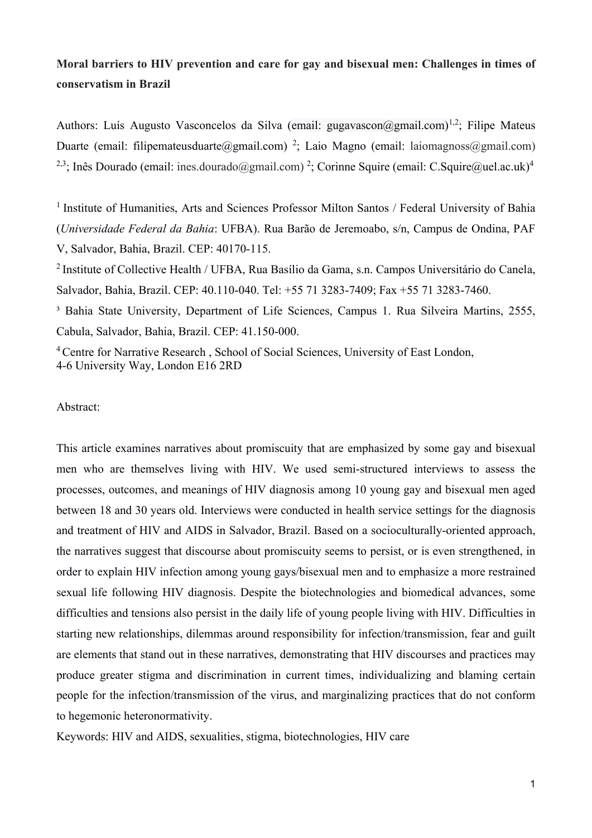# **Moral barriers to HIV prevention and care for gay and bisexual men: Challenges in times of conservatism in Brazil**

Authors: Luís Augusto Vasconcelos da Silva (email: gugavascon $(a)$ gmail.com)<sup>1,2</sup>; Filipe Mateus Duarte (email: filipemateusduarte@gmail.com)<sup>2</sup>; Laio Magno (email: laiomagnoss@gmail.com) <sup>2,3</sup>; Inês Dourado (email: ines.dourado@gmail.com) <sup>2</sup>; Corinne Squire (email: [C.Squire@uel.ac.uk\)](mailto:C.Squire@uel.ac.uk)4)<sup>4</sup>

<sup>1</sup> Institute of Humanities, Arts and Sciences Professor Milton Santos / Federal University of Bahia (*Universidade Federal da Bahia*: UFBA). Rua Barão de Jeremoabo, s/n, Campus de Ondina, PAF V, Salvador, Bahia, Brazil. CEP: 40170-115.

<sup>2</sup>Institute of Collective Health / UFBA, Rua Basílio da Gama, s.n. Campos Universitário do Canela, Salvador, Bahia, Brazil. CEP: 40.110-040. Tel: +55 71 3283-7409; Fax +55 71 3283-7460.

<sup>3</sup> Bahia State University, Department of Life Sciences, Campus 1. Rua Silveira Martins, 2555, Cabula, Salvador, Bahia, Brazil. CEP: 41.150-000.

<sup>4</sup> Centre for Narrative Research, School of Social Sciences, University of East London, 4-6 University Way, London E16 2RD

### Abstract:

This article examines narratives about promiscuity that are emphasized by some gay and bisexual men who are themselves living with HIV. We used semi-structured interviews to assess the processes, outcomes, and meanings of HIV diagnosis among 10 young gay and bisexual men aged between 18 and 30 years old. Interviews were conducted in health service settings for the diagnosis and treatment of HIV and AIDS in Salvador, Brazil. Based on a socioculturally-oriented approach, the narratives suggest that discourse about promiscuity seems to persist, or is even strengthened, in order to explain HIV infection among young gays/bisexual men and to emphasize a more restrained sexual life following HIV diagnosis. Despite the biotechnologies and biomedical advances, some difficulties and tensions also persist in the daily life of young people living with HIV. Difficulties in starting new relationships, dilemmas around responsibility for infection/transmission, fear and guilt are elements that stand out in these narratives, demonstrating that HIV discourses and practices may produce greater stigma and discrimination in current times, individualizing and blaming certain people for the infection/transmission of the virus, and marginalizing practices that do not conform to hegemonic heteronormativity.

Keywords: HIV and AIDS, sexualities, stigma, biotechnologies, HIV care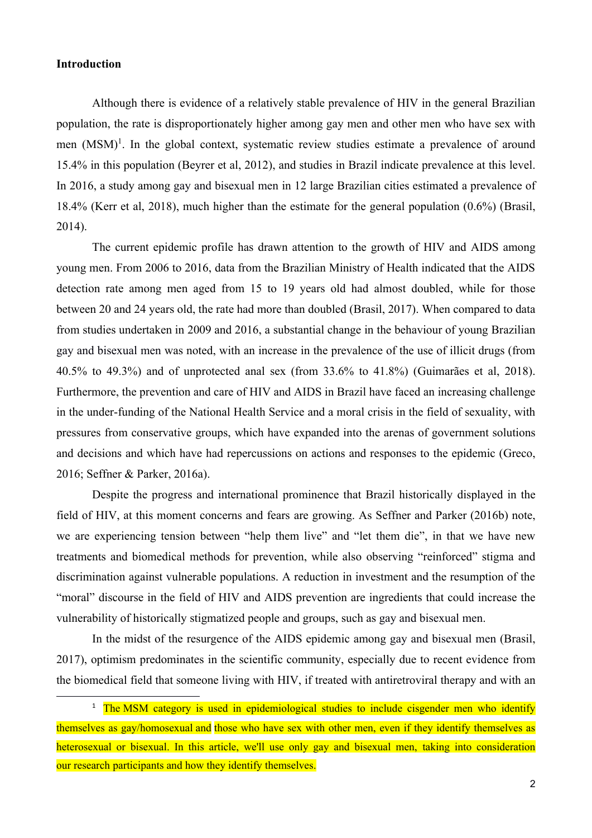### **Introduction**

Although there is evidence of a relatively stable prevalence of HIV in the general Brazilian population, the rate is disproportionately higher among gay men and other men who have sex with men  $(MSM)^1$ . In the global context, systematic review studies estimate a prevalence of around 15.4% in this population (Beyrer et al, 2012), and studies in Brazil indicate prevalence at this level. In 2016, a study among gay and bisexual men in 12 large Brazilian cities estimated a prevalence of 18.4% (Kerr et al, 2018), much higher than the estimate for the general population (0.6%) (Brasil, 2014).

The current epidemic profile has drawn attention to the growth of HIV and AIDS among young men. From 2006 to 2016, data from the Brazilian Ministry of Health indicated that the AIDS detection rate among men aged from 15 to 19 years old had almost doubled, while for those between 20 and 24 years old, the rate had more than doubled (Brasil, 2017). When compared to data from studies undertaken in 2009 and 2016, a substantial change in the behaviour of young Brazilian gay and bisexual men was noted, with an increase in the prevalence of the use of illicit drugs (from 40.5% to 49.3%) and of unprotected anal sex (from 33.6% to 41.8%) (Guimarães et al, 2018). Furthermore, the prevention and care of HIV and AIDS in Brazil have faced an increasing challenge in the under-funding of the National Health Service and a moral crisis in the field of sexuality, with pressures from conservative groups, which have expanded into the arenas of government solutions and decisions and which have had repercussions on actions and responses to the epidemic (Greco, 2016; Seffner & Parker, 2016a).

Despite the progress and international prominence that Brazil historically displayed in the field of HIV, at this moment concerns and fears are growing. As Seffner and Parker (2016b) note, we are experiencing tension between "help them live" and "let them die", in that we have new treatments and biomedical methods for prevention, while also observing "reinforced" stigma and discrimination against vulnerable populations. A reduction in investment and the resumption of the "moral" discourse in the field of HIV and AIDS prevention are ingredients that could increase the vulnerability of historically stigmatized people and groups, such as gay and bisexual men.

In the midst of the resurgence of the AIDS epidemic among gay and bisexual men (Brasil, 2017), optimism predominates in the scientific community, especially due to recent evidence from the biomedical field that someone living with HIV, if treated with antiretroviral therapy and with an

<sup>&</sup>lt;sup>1</sup> The MSM category is used in epidemiological studies to include cisgender men who identify themselves as gay/homosexual and those who have sex with other men, even if they identify themselves as heterosexual or bisexual. In this article, we'll use only gay and bisexual men, taking into consideration our research participants and how they identify themselves.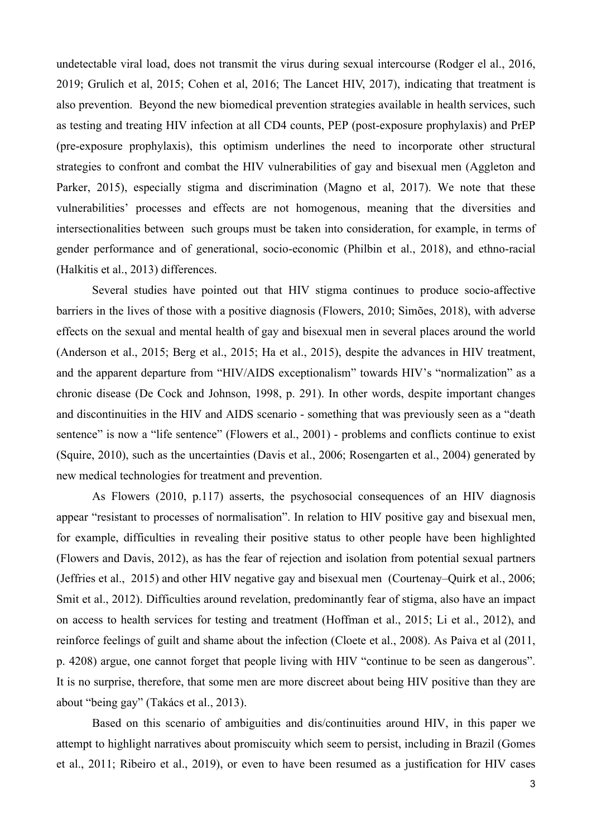undetectable viral load, does not transmit the virus during sexual intercourse (Rodger el al., 2016, 2019; Grulich et al, 2015; Cohen et al, 2016; The Lancet HIV, 2017), indicating that treatment is also prevention. Beyond the new biomedical prevention strategies available in health services, such as testing and treating HIV infection at all CD4 counts, PEP (post-exposure prophylaxis) and PrEP (pre-exposure prophylaxis), this optimism underlines the need to incorporate other structural strategies to confront and combat the HIV vulnerabilities of gay and bisexual men (Aggleton and Parker, 2015), especially stigma and discrimination (Magno et al, 2017). We note that these vulnerabilities' processes and effects are not homogenous, meaning that the diversities and intersectionalities between such groups must be taken into consideration, for example, in terms of gender performance and of generational, socio-economic (Philbin et al., 2018), and ethno-racial (Halkitis et al., 2013) differences.

Several studies have pointed out that HIV stigma continues to produce socio-affective barriers in the lives of those with a positive diagnosis (Flowers, 2010; Simões, 2018), with adverse effects on the sexual and mental health of gay and bisexual men in several places around the world (Anderson et al., 2015; Berg et al., 2015; Ha et al., 2015), despite the advances in HIV treatment, and the apparent departure from "HIV/AIDS exceptionalism" towards HIV's "normalization" as a chronic disease (De Cock and Johnson, 1998, p. 291). In other words, despite important changes and discontinuities in the HIV and AIDS scenario - something that was previously seen as a "death sentence" is now a "life sentence" (Flowers et al., 2001) - problems and conflicts continue to exist (Squire, 2010), such as the uncertainties (Davis et al., 2006; Rosengarten et al., 2004) generated by new medical technologies for treatment and prevention.

As Flowers (2010, p.117) asserts, the psychosocial consequences of an HIV diagnosis appear "resistant to processes of normalisation". In relation to HIV positive gay and bisexual men, for example, difficulties in revealing their positive status to other people have been highlighted (Flowers and Davis, 2012), as has the fear of rejection and isolation from potential sexual partners (Jeffries et al., 2015) and other HIV negative gay and bisexual men (Courtenay–Quirk et al., 2006; Smit et al., 2012). Difficulties around revelation, predominantly fear of stigma, also have an impact on access to health services for testing and treatment (Hoffman et al., 2015; Li et al., 2012), and reinforce feelings of guilt and shame about the infection (Cloete et al., 2008). As Paiva et al (2011, p. 4208) argue, one cannot forget that people living with HIV "continue to be seen as dangerous". It is no surprise, therefore, that some men are more discreet about being HIV positive than they are about "being gay" (Takács et al., 2013).

Based on this scenario of ambiguities and dis/continuities around HIV, in this paper we attempt to highlight narratives about promiscuity which seem to persist, including in Brazil (Gomes et al., 2011; Ribeiro et al., 2019), or even to have been resumed as a justification for HIV cases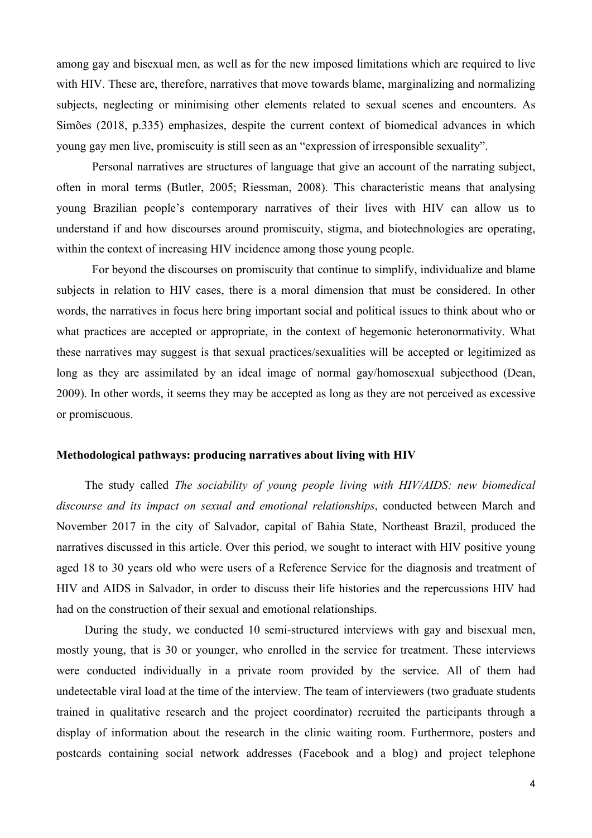among gay and bisexual men, as well as for the new imposed limitations which are required to live with HIV. These are, therefore, narratives that move towards blame, marginalizing and normalizing subjects, neglecting or minimising other elements related to sexual scenes and encounters. As Simões (2018, p.335) emphasizes, despite the current context of biomedical advances in which young gay men live, promiscuity is still seen as an "expression of irresponsible sexuality".

Personal narratives are structures of language that give an account of the narrating subject, often in moral terms (Butler, 2005; Riessman, 2008). This characteristic means that analysing young Brazilian people's contemporary narratives of their lives with HIV can allow us to understand if and how discourses around promiscuity, stigma, and biotechnologies are operating, within the context of increasing HIV incidence among those young people.

For beyond the discourses on promiscuity that continue to simplify, individualize and blame subjects in relation to HIV cases, there is a moral dimension that must be considered. In other words, the narratives in focus here bring important social and political issues to think about who or what practices are accepted or appropriate, in the context of hegemonic heteronormativity. What these narratives may suggest is that sexual practices/sexualities will be accepted or legitimized as long as they are assimilated by an ideal image of normal gay/homosexual subjecthood (Dean, 2009). In other words, it seems they may be accepted as long as they are not perceived as excessive or promiscuous.

#### **Methodological pathways: producing narratives about living with HIV**

The study called *The sociability of young people living with HIV/AIDS: new biomedical discourse and its impact on sexual and emotional relationships*, conducted between March and November 2017 in the city of Salvador, capital of Bahia State, Northeast Brazil, produced the narratives discussed in this article. Over this period, we sought to interact with HIV positive young aged 18 to 30 years old who were users of a Reference Service for the diagnosis and treatment of HIV and AIDS in Salvador, in order to discuss their life histories and the repercussions HIV had had on the construction of their sexual and emotional relationships.

During the study, we conducted 10 semi-structured interviews with gay and bisexual men, mostly young, that is 30 or younger, who enrolled in the service for treatment. These interviews were conducted individually in a private room provided by the service. All of them had undetectable viral load at the time of the interview. The team of interviewers (two graduate students trained in qualitative research and the project coordinator) recruited the participants through a display of information about the research in the clinic waiting room. Furthermore, posters and postcards containing social network addresses (Facebook and a blog) and project telephone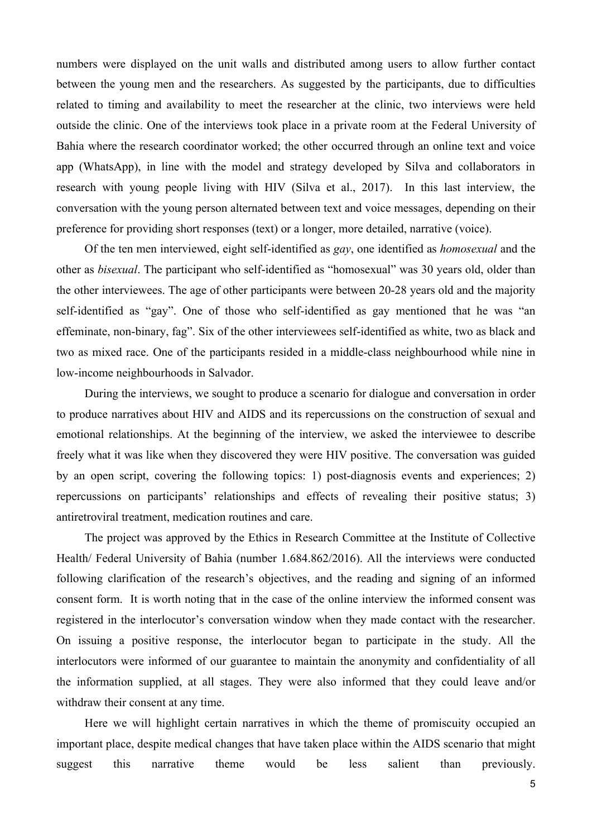numbers were displayed on the unit walls and distributed among users to allow further contact between the young men and the researchers. As suggested by the participants, due to difficulties related to timing and availability to meet the researcher at the clinic, two interviews were held outside the clinic. One of the interviews took place in a private room at the Federal University of Bahia where the research coordinator worked; the other occurred through an online text and voice app (WhatsApp), in line with the model and strategy developed by Silva and collaborators in research with young people living with HIV (Silva et al., 2017). In this last interview, the conversation with the young person alternated between text and voice messages, depending on their preference for providing short responses (text) or a longer, more detailed, narrative (voice).

Of the ten men interviewed, eight self-identified as *gay*, one identified as *homosexual* and the other as *bisexual*. The participant who self-identified as "homosexual" was 30 years old, older than the other interviewees. The age of other participants were between 20-28 years old and the majority self-identified as "gay". One of those who self-identified as gay mentioned that he was "an effeminate, non-binary, fag". Six of the other interviewees self-identified as white, two as black and two as mixed race. One of the participants resided in a middle-class neighbourhood while nine in low-income neighbourhoods in Salvador.

During the interviews, we sought to produce a scenario for dialogue and conversation in order to produce narratives about HIV and AIDS and its repercussions on the construction of sexual and emotional relationships. At the beginning of the interview, we asked the interviewee to describe freely what it was like when they discovered they were HIV positive. The conversation was guided by an open script, covering the following topics: 1) post-diagnosis events and experiences; 2) repercussions on participants' relationships and effects of revealing their positive status; 3) antiretroviral treatment, medication routines and care.

The project was approved by the Ethics in Research Committee at the Institute of Collective Health/ Federal University of Bahia (number 1.684.862/2016). All the interviews were conducted following clarification of the research's objectives, and the reading and signing of an informed consent form. It is worth noting that in the case of the online interview the informed consent was registered in the interlocutor's conversation window when they made contact with the researcher. On issuing a positive response, the interlocutor began to participate in the study. All the interlocutors were informed of our guarantee to maintain the anonymity and confidentiality of all the information supplied, at all stages. They were also informed that they could leave and/or withdraw their consent at any time.

Here we will highlight certain narratives in which the theme of promiscuity occupied an important place, despite medical changes that have taken place within the AIDS scenario that might suggest this narrative theme would be less salient than previously.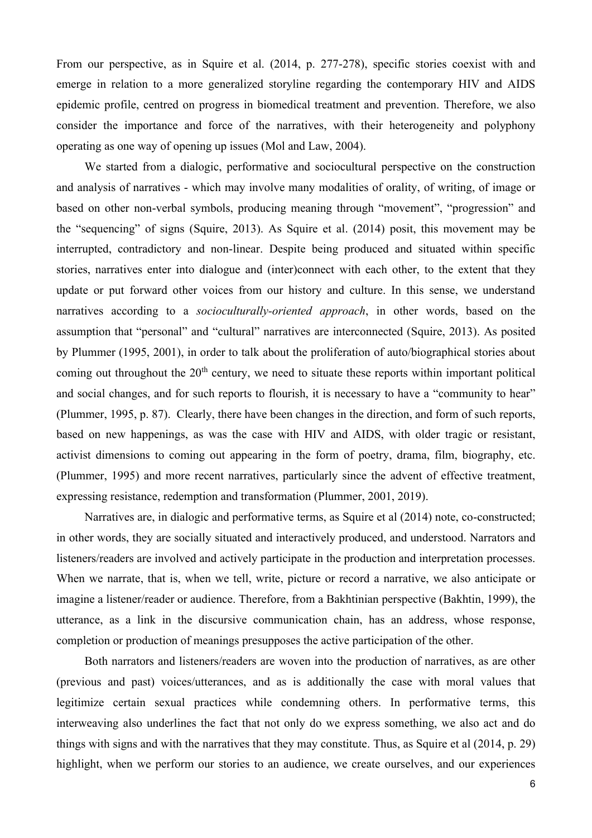From our perspective, as in Squire et al. (2014, p. 277-278), specific stories coexist with and emerge in relation to a more generalized storyline regarding the contemporary HIV and AIDS epidemic profile, centred on progress in biomedical treatment and prevention. Therefore, we also consider the importance and force of the narratives, with their heterogeneity and polyphony operating as one way of opening up issues (Mol and Law, 2004).

We started from a dialogic, performative and sociocultural perspective on the construction and analysis of narratives - which may involve many modalities of orality, of writing, of image or based on other non-verbal symbols, producing meaning through "movement", "progression" and the "sequencing" of signs (Squire, 2013). As Squire et al. (2014) posit, this movement may be interrupted, contradictory and non-linear. Despite being produced and situated within specific stories, narratives enter into dialogue and (inter)connect with each other, to the extent that they update or put forward other voices from our history and culture. In this sense, we understand narratives according to a *socioculturally-oriented approach*, in other words, based on the assumption that "personal" and "cultural" narratives are interconnected (Squire, 2013). As posited by Plummer (1995, 2001), in order to talk about the proliferation of auto/biographical stories about coming out throughout the  $20<sup>th</sup>$  century, we need to situate these reports within important political and social changes, and for such reports to flourish, it is necessary to have a "community to hear" (Plummer, 1995, p. 87). Clearly, there have been changes in the direction, and form of such reports, based on new happenings, as was the case with HIV and AIDS, with older tragic or resistant, activist dimensions to coming out appearing in the form of poetry, drama, film, biography, etc. (Plummer, 1995) and more recent narratives, particularly since the advent of effective treatment, expressing resistance, redemption and transformation (Plummer, 2001, 2019).

Narratives are, in dialogic and performative terms, as Squire et al (2014) note, co-constructed; in other words, they are socially situated and interactively produced, and understood. Narrators and listeners/readers are involved and actively participate in the production and interpretation processes. When we narrate, that is, when we tell, write, picture or record a narrative, we also anticipate or imagine a listener/reader or audience. Therefore, from a Bakhtinian perspective (Bakhtin, 1999), the utterance, as a link in the discursive communication chain, has an address, whose response, completion or production of meanings presupposes the active participation of the other.

Both narrators and listeners/readers are woven into the production of narratives, as are other (previous and past) voices/utterances, and as is additionally the case with moral values that legitimize certain sexual practices while condemning others. In performative terms, this interweaving also underlines the fact that not only do we express something, we also act and do things with signs and with the narratives that they may constitute. Thus, as Squire et al (2014, p. 29) highlight, when we perform our stories to an audience, we create ourselves, and our experiences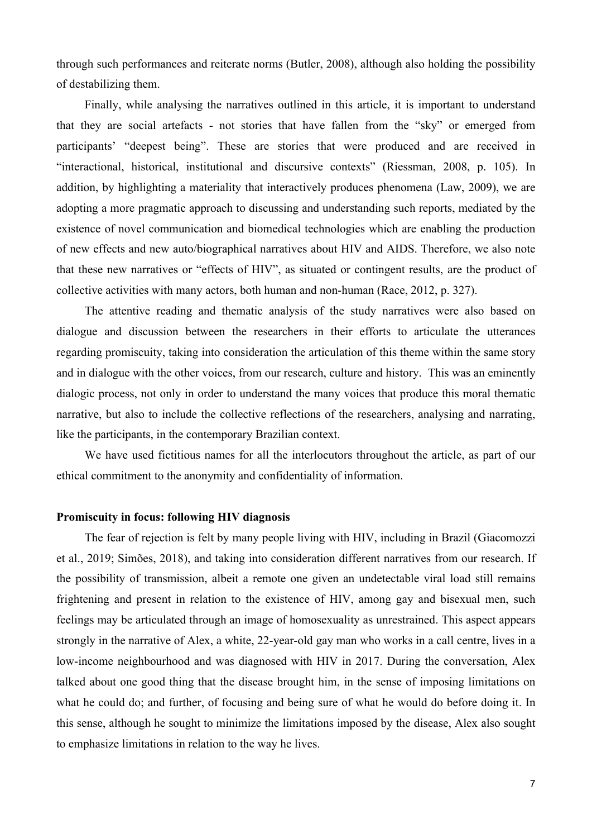through such performances and reiterate norms (Butler, 2008), although also holding the possibility of destabilizing them.

Finally, while analysing the narratives outlined in this article, it is important to understand that they are social artefacts - not stories that have fallen from the "sky" or emerged from participants' "deepest being". These are stories that were produced and are received in "interactional, historical, institutional and discursive contexts" (Riessman, 2008, p. 105). In addition, by highlighting a materiality that interactively produces phenomena (Law, 2009), we are adopting a more pragmatic approach to discussing and understanding such reports, mediated by the existence of novel communication and biomedical technologies which are enabling the production of new effects and new auto/biographical narratives about HIV and AIDS. Therefore, we also note that these new narratives or "effects of HIV", as situated or contingent results, are the product of collective activities with many actors, both human and non-human (Race, 2012, p. 327).

The attentive reading and thematic analysis of the study narratives were also based on dialogue and discussion between the researchers in their efforts to articulate the utterances regarding promiscuity, taking into consideration the articulation of this theme within the same story and in dialogue with the other voices, from our research, culture and history. This was an eminently dialogic process, not only in order to understand the many voices that produce this moral thematic narrative, but also to include the collective reflections of the researchers, analysing and narrating, like the participants, in the contemporary Brazilian context.

We have used fictitious names for all the interlocutors throughout the article, as part of our ethical commitment to the anonymity and confidentiality of information.

### **Promiscuity in focus: following HIV diagnosis**

The fear of rejection is felt by many people living with HIV, including in Brazil (Giacomozzi et al., 2019; Simões, 2018), and taking into consideration different narratives from our research. If the possibility of transmission, albeit a remote one given an undetectable viral load still remains frightening and present in relation to the existence of HIV, among gay and bisexual men, such feelings may be articulated through an image of homosexuality as unrestrained. This aspect appears strongly in the narrative of Alex, a white, 22-year-old gay man who works in a call centre, lives in a low-income neighbourhood and was diagnosed with HIV in 2017. During the conversation, Alex talked about one good thing that the disease brought him, in the sense of imposing limitations on what he could do; and further, of focusing and being sure of what he would do before doing it. In this sense, although he sought to minimize the limitations imposed by the disease, Alex also sought to emphasize limitations in relation to the way he lives.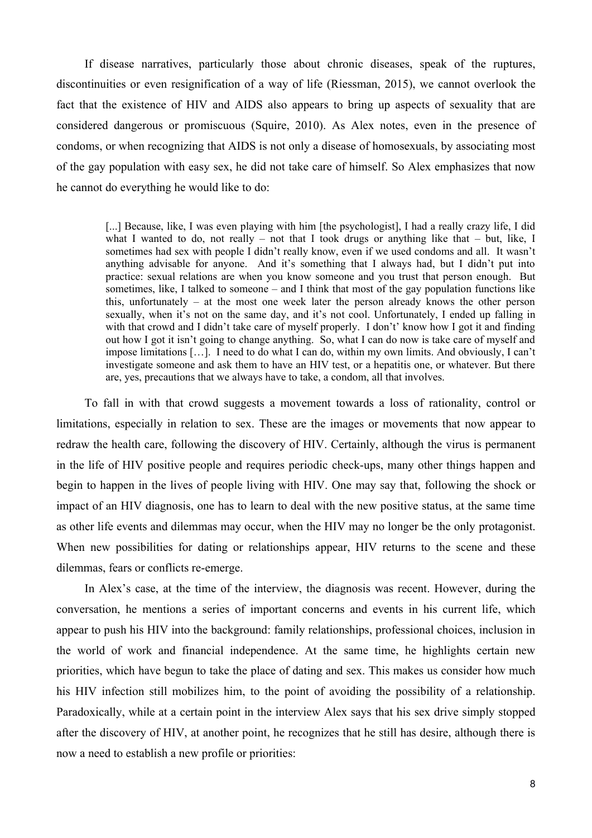If disease narratives, particularly those about chronic diseases, speak of the ruptures, discontinuities or even resignification of a way of life (Riessman, 2015), we cannot overlook the fact that the existence of HIV and AIDS also appears to bring up aspects of sexuality that are considered dangerous or promiscuous (Squire, 2010). As Alex notes, even in the presence of condoms, or when recognizing that AIDS is not only a disease of homosexuals, by associating most of the gay population with easy sex, he did not take care of himself. So Alex emphasizes that now he cannot do everything he would like to do:

> [...] Because, like, I was even playing with him [the psychologist], I had a really crazy life, I did what I wanted to do, not really – not that I took drugs or anything like that – but, like, I sometimes had sex with people I didn't really know, even if we used condoms and all. It wasn't anything advisable for anyone. And it's something that I always had, but I didn't put into practice: sexual relations are when you know someone and you trust that person enough. But sometimes, like, I talked to someone – and I think that most of the gay population functions like this, unfortunately – at the most one week later the person already knows the other person sexually, when it's not on the same day, and it's not cool. Unfortunately, I ended up falling in with that crowd and I didn't take care of myself properly. I don't' know how I got it and finding out how I got it isn't going to change anything. So, what I can do now is take care of myself and impose limitations […]. I need to do what I can do, within my own limits. And obviously, I can't investigate someone and ask them to have an HIV test, or a hepatitis one, or whatever. But there are, yes, precautions that we always have to take, a condom, all that involves.

To fall in with that crowd suggests a movement towards a loss of rationality, control or limitations, especially in relation to sex. These are the images or movements that now appear to redraw the health care, following the discovery of HIV. Certainly, although the virus is permanent in the life of HIV positive people and requires periodic check-ups, many other things happen and begin to happen in the lives of people living with HIV. One may say that, following the shock or impact of an HIV diagnosis, one has to learn to deal with the new positive status, at the same time as other life events and dilemmas may occur, when the HIV may no longer be the only protagonist. When new possibilities for dating or relationships appear, HIV returns to the scene and these dilemmas, fears or conflicts re-emerge.

In Alex's case, at the time of the interview, the diagnosis was recent. However, during the conversation, he mentions a series of important concerns and events in his current life, which appear to push his HIV into the background: family relationships, professional choices, inclusion in the world of work and financial independence. At the same time, he highlights certain new priorities, which have begun to take the place of dating and sex. This makes us consider how much his HIV infection still mobilizes him, to the point of avoiding the possibility of a relationship. Paradoxically, while at a certain point in the interview Alex says that his sex drive simply stopped after the discovery of HIV, at another point, he recognizes that he still has desire, although there is now a need to establish a new profile or priorities: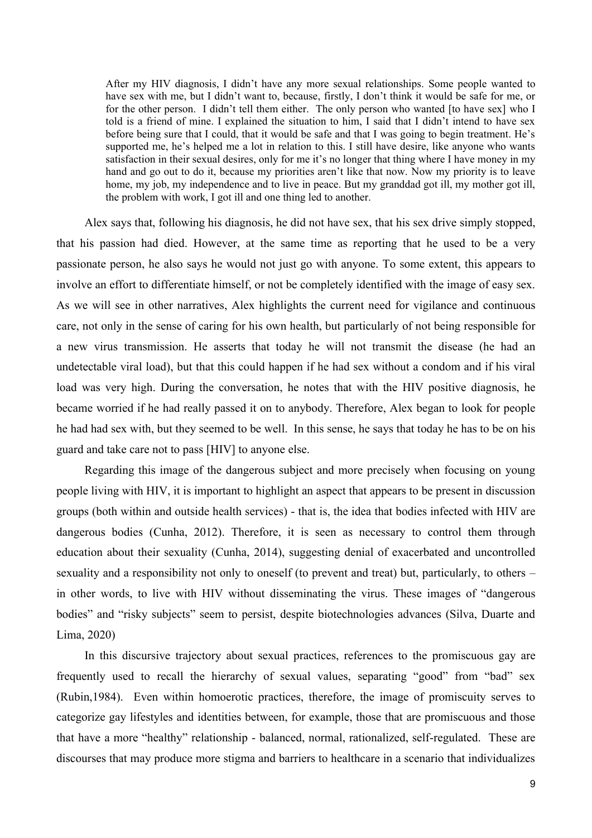After my HIV diagnosis, I didn't have any more sexual relationships. Some people wanted to have sex with me, but I didn't want to, because, firstly, I don't think it would be safe for me, or for the other person. I didn't tell them either. The only person who wanted [to have sex] who I told is a friend of mine. I explained the situation to him, I said that I didn't intend to have sex before being sure that I could, that it would be safe and that I was going to begin treatment. He's supported me, he's helped me a lot in relation to this. I still have desire, like anyone who wants satisfaction in their sexual desires, only for me it's no longer that thing where I have money in my hand and go out to do it, because my priorities aren't like that now. Now my priority is to leave home, my job, my independence and to live in peace. But my granddad got ill, my mother got ill, the problem with work, I got ill and one thing led to another.

Alex says that, following his diagnosis, he did not have sex, that his sex drive simply stopped, that his passion had died. However, at the same time as reporting that he used to be a very passionate person, he also says he would not just go with anyone. To some extent, this appears to involve an effort to differentiate himself, or not be completely identified with the image of easy sex. As we will see in other narratives, Alex highlights the current need for vigilance and continuous care, not only in the sense of caring for his own health, but particularly of not being responsible for a new virus transmission. He asserts that today he will not transmit the disease (he had an undetectable viral load), but that this could happen if he had sex without a condom and if his viral load was very high. During the conversation, he notes that with the HIV positive diagnosis, he became worried if he had really passed it on to anybody. Therefore, Alex began to look for people he had had sex with, but they seemed to be well. In this sense, he says that today he has to be on his guard and take care not to pass [HIV] to anyone else.

Regarding this image of the dangerous subject and more precisely when focusing on young people living with HIV, it is important to highlight an aspect that appears to be present in discussion groups (both within and outside health services) - that is, the idea that bodies infected with HIV are dangerous bodies (Cunha, 2012). Therefore, it is seen as necessary to control them through education about their sexuality (Cunha, 2014), suggesting denial of exacerbated and uncontrolled sexuality and a responsibility not only to oneself (to prevent and treat) but, particularly, to others – in other words, to live with HIV without disseminating the virus. These images of "dangerous bodies" and "risky subjects" seem to persist, despite biotechnologies advances (Silva, Duarte and Lima, 2020)

In this discursive trajectory about sexual practices, references to the promiscuous gay are frequently used to recall the hierarchy of sexual values, separating "good" from "bad" sex (Rubin,1984). Even within homoerotic practices, therefore, the image of promiscuity serves to categorize gay lifestyles and identities between, for example, those that are promiscuous and those that have a more "healthy" relationship - balanced, normal, rationalized, self-regulated. These are discourses that may produce more stigma and barriers to healthcare in a scenario that individualizes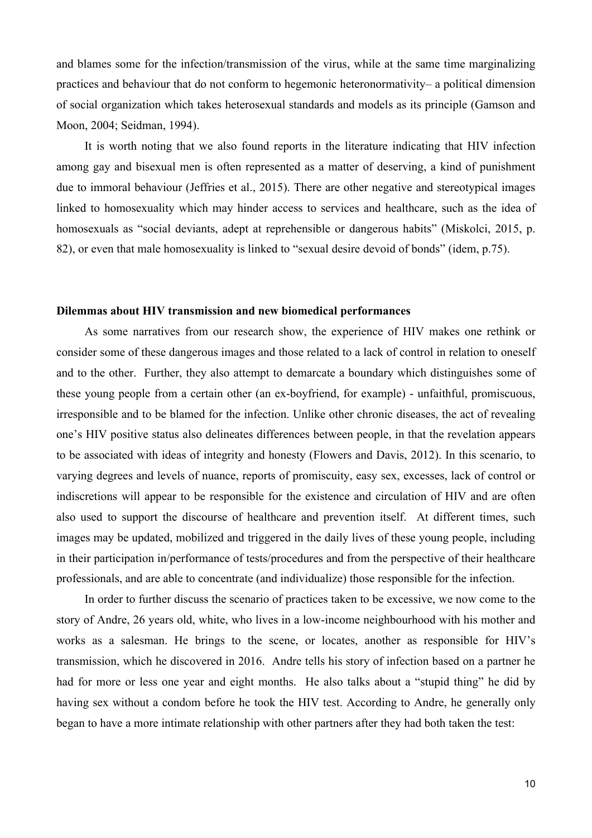and blames some for the infection/transmission of the virus, while at the same time marginalizing practices and behaviour that do not conform to hegemonic heteronormativity– a political dimension of social organization which takes heterosexual standards and models as its principle (Gamson and Moon, 2004; Seidman, 1994).

It is worth noting that we also found reports in the literature indicating that HIV infection among gay and bisexual men is often represented as a matter of deserving, a kind of punishment due to immoral behaviour (Jeffries et al., 2015). There are other negative and stereotypical images linked to homosexuality which may hinder access to services and healthcare, such as the idea of homosexuals as "social deviants, adept at reprehensible or dangerous habits" (Miskolci, 2015, p. 82), or even that male homosexuality is linked to "sexual desire devoid of bonds" (idem, p.75).

# **Dilemmas about HIV transmission and new biomedical performances**

As some narratives from our research show, the experience of HIV makes one rethink or consider some of these dangerous images and those related to a lack of control in relation to oneself and to the other. Further, they also attempt to demarcate a boundary which distinguishes some of these young people from a certain other (an ex-boyfriend, for example) - unfaithful, promiscuous, irresponsible and to be blamed for the infection. Unlike other chronic diseases, the act of revealing one's HIV positive status also delineates differences between people, in that the revelation appears to be associated with ideas of integrity and honesty (Flowers and Davis, 2012). In this scenario, to varying degrees and levels of nuance, reports of promiscuity, easy sex, excesses, lack of control or indiscretions will appear to be responsible for the existence and circulation of HIV and are often also used to support the discourse of healthcare and prevention itself. At different times, such images may be updated, mobilized and triggered in the daily lives of these young people, including in their participation in/performance of tests/procedures and from the perspective of their healthcare professionals, and are able to concentrate (and individualize) those responsible for the infection.

In order to further discuss the scenario of practices taken to be excessive, we now come to the story of Andre, 26 years old, white, who lives in a low-income neighbourhood with his mother and works as a salesman. He brings to the scene, or locates, another as responsible for HIV's transmission, which he discovered in 2016. Andre tells his story of infection based on a partner he had for more or less one year and eight months. He also talks about a "stupid thing" he did by having sex without a condom before he took the HIV test. According to Andre, he generally only began to have a more intimate relationship with other partners after they had both taken the test: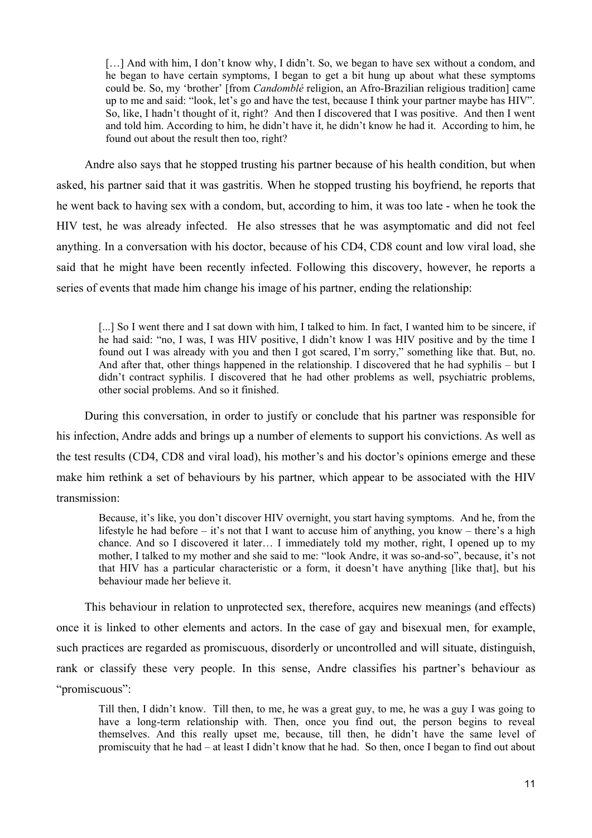[...] And with him, I don't know why, I didn't. So, we began to have sex without a condom, and he began to have certain symptoms, I began to get a bit hung up about what these symptoms could be. So, my 'brother' [from *Candomblé* religion, an Afro-Brazilian religious tradition] came up to me and said: "look, let's go and have the test, because I think your partner maybe has HIV". So, like, I hadn't thought of it, right? And then I discovered that I was positive. And then I went and told him. According to him, he didn't have it, he didn't know he had it. According to him, he found out about the result then too, right?

Andre also says that he stopped trusting his partner because of his health condition, but when asked, his partner said that it was gastritis. When he stopped trusting his boyfriend, he reports that he went back to having sex with a condom, but, according to him, it was too late - when he took the HIV test, he was already infected. He also stresses that he was asymptomatic and did not feel anything. In a conversation with his doctor, because of his CD4, CD8 count and low viral load, she said that he might have been recently infected. Following this discovery, however, he reports a series of events that made him change his image of his partner, ending the relationship:

[...] So I went there and I sat down with him, I talked to him. In fact, I wanted him to be sincere, if he had said: "no, I was, I was HIV positive, I didn't know I was HIV positive and by the time I found out I was already with you and then I got scared, I'm sorry," something like that. But, no. And after that, other things happened in the relationship. I discovered that he had syphilis – but I didn't contract syphilis. I discovered that he had other problems as well, psychiatric problems, other social problems. And so it finished.

During this conversation, in order to justify or conclude that his partner was responsible for his infection, Andre adds and brings up a number of elements to support his convictions. As well as the test results (CD4, CD8 and viral load), his mother's and his doctor's opinions emerge and these make him rethink a set of behaviours by his partner, which appear to be associated with the HIV transmission:

Because, it's like, you don't discover HIV overnight, you start having symptoms. And he, from the lifestyle he had before – it's not that I want to accuse him of anything, you know – there's a high chance. And so I discovered it later… I immediately told my mother, right, I opened up to my mother, I talked to my mother and she said to me: "look Andre, it was so-and-so", because, it's not that HIV has a particular characteristic or a form, it doesn't have anything [like that], but his behaviour made her believe it.

This behaviour in relation to unprotected sex, therefore, acquires new meanings (and effects) once it is linked to other elements and actors. In the case of gay and bisexual men, for example, such practices are regarded as promiscuous, disorderly or uncontrolled and will situate, distinguish, rank or classify these very people. In this sense, Andre classifies his partner's behaviour as "promiscuous":

Till then, I didn't know. Till then, to me, he was a great guy, to me, he was a guy I was going to have a long-term relationship with. Then, once you find out, the person begins to reveal themselves. And this really upset me, because, till then, he didn't have the same level of promiscuity that he had – at least I didn't know that he had. So then, once I began to find out about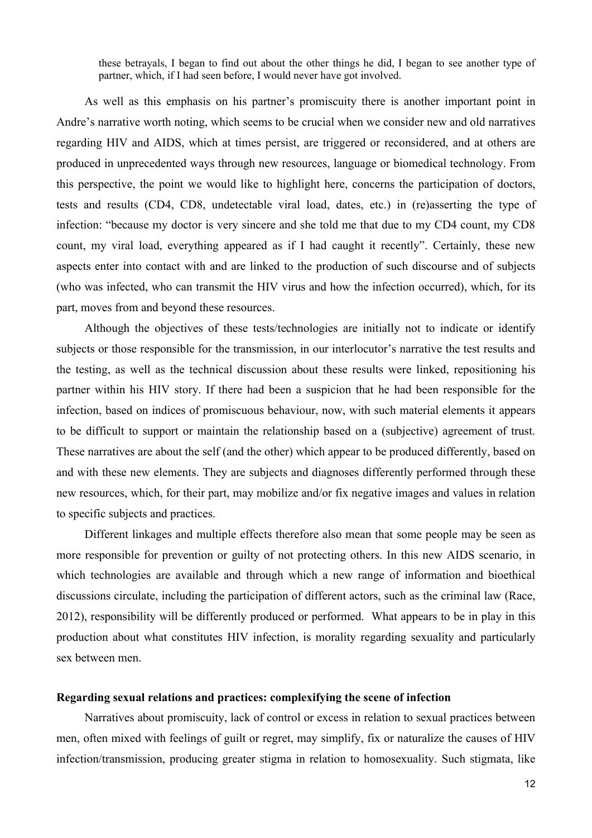these betrayals, I began to find out about the other things he did, I began to see another type of partner, which, if I had seen before, I would never have got involved.

As well as this emphasis on his partner's promiscuity there is another important point in Andre's narrative worth noting, which seems to be crucial when we consider new and old narratives regarding HIV and AIDS, which at times persist, are triggered or reconsidered, and at others are produced in unprecedented ways through new resources, language or biomedical technology. From this perspective, the point we would like to highlight here, concerns the participation of doctors, tests and results (CD4, CD8, undetectable viral load, dates, etc.) in (re)asserting the type of infection: "because my doctor is very sincere and she told me that due to my CD4 count, my CD8 count, my viral load, everything appeared as if I had caught it recently". Certainly, these new aspects enter into contact with and are linked to the production of such discourse and of subjects (who was infected, who can transmit the HIV virus and how the infection occurred), which, for its part, moves from and beyond these resources.

Although the objectives of these tests/technologies are initially not to indicate or identify subjects or those responsible for the transmission, in our interlocutor's narrative the test results and the testing, as well as the technical discussion about these results were linked, repositioning his partner within his HIV story. If there had been a suspicion that he had been responsible for the infection, based on indices of promiscuous behaviour, now, with such material elements it appears to be difficult to support or maintain the relationship based on a (subjective) agreement of trust. These narratives are about the self (and the other) which appear to be produced differently, based on and with these new elements. They are subjects and diagnoses differently performed through these new resources, which, for their part, may mobilize and/or fix negative images and values in relation to specific subjects and practices.

Different linkages and multiple effects therefore also mean that some people may be seen as more responsible for prevention or guilty of not protecting others. In this new AIDS scenario, in which technologies are available and through which a new range of information and bioethical discussions circulate, including the participation of different actors, such as the criminal law (Race, 2012), responsibility will be differently produced or performed. What appears to be in play in this production about what constitutes HIV infection, is morality regarding sexuality and particularly sex between men.

### **Regarding sexual relations and practices: complexifying the scene of infection**

Narratives about promiscuity, lack of control or excess in relation to sexual practices between men, often mixed with feelings of guilt or regret, may simplify, fix or naturalize the causes of HIV infection/transmission, producing greater stigma in relation to homosexuality. Such stigmata, like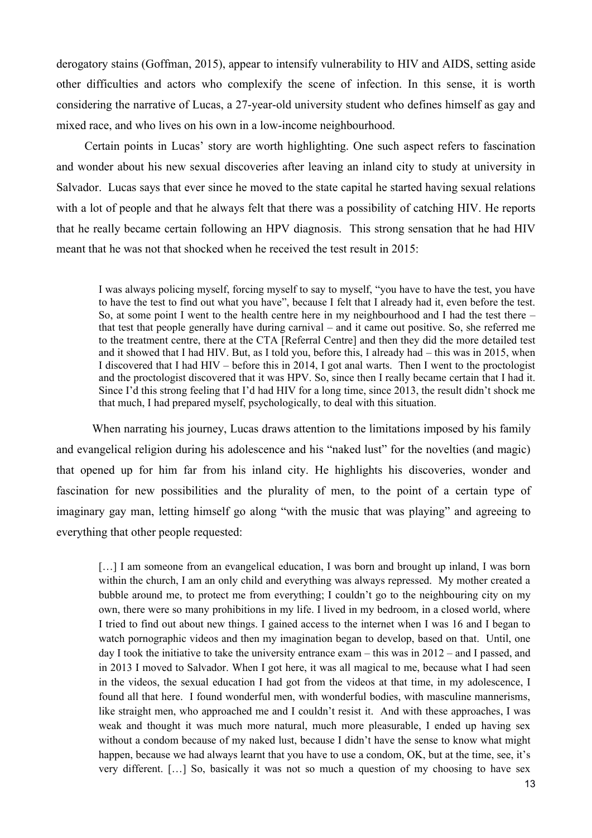derogatory stains (Goffman, 2015), appear to intensify vulnerability to HIV and AIDS, setting aside other difficulties and actors who complexify the scene of infection. In this sense, it is worth considering the narrative of Lucas, a 27-year-old university student who defines himself as gay and mixed race, and who lives on his own in a low-income neighbourhood.

Certain points in Lucas' story are worth highlighting. One such aspect refers to fascination and wonder about his new sexual discoveries after leaving an inland city to study at university in Salvador. Lucas says that ever since he moved to the state capital he started having sexual relations with a lot of people and that he always felt that there was a possibility of catching HIV. He reports that he really became certain following an HPV diagnosis. This strong sensation that he had HIV meant that he was not that shocked when he received the test result in 2015:

I was always policing myself, forcing myself to say to myself, "you have to have the test, you have to have the test to find out what you have", because I felt that I already had it, even before the test. So, at some point I went to the health centre here in my neighbourhood and I had the test there – that test that people generally have during carnival – and it came out positive. So, she referred me to the treatment centre, there at the CTA [Referral Centre] and then they did the more detailed test and it showed that I had HIV. But, as I told you, before this, I already had – this was in 2015, when I discovered that I had HIV – before this in 2014, I got anal warts. Then I went to the proctologist and the proctologist discovered that it was HPV. So, since then I really became certain that I had it. Since I'd this strong feeling that I'd had HIV for a long time, since 2013, the result didn't shock me that much, I had prepared myself, psychologically, to deal with this situation.

When narrating his journey, Lucas draws attention to the limitations imposed by his family and evangelical religion during his adolescence and his "naked lust" for the novelties (and magic) that opened up for him far from his inland city. He highlights his discoveries, wonder and fascination for new possibilities and the plurality of men, to the point of a certain type of imaginary gay man, letting himself go along "with the music that was playing" and agreeing to everything that other people requested:

[...] I am someone from an evangelical education, I was born and brought up inland, I was born within the church, I am an only child and everything was always repressed. My mother created a bubble around me, to protect me from everything; I couldn't go to the neighbouring city on my own, there were so many prohibitions in my life. I lived in my bedroom, in a closed world, where I tried to find out about new things. I gained access to the internet when I was 16 and I began to watch pornographic videos and then my imagination began to develop, based on that. Until, one day I took the initiative to take the university entrance exam – this was in 2012 – and I passed, and in 2013 I moved to Salvador. When I got here, it was all magical to me, because what I had seen in the videos, the sexual education I had got from the videos at that time, in my adolescence, I found all that here. I found wonderful men, with wonderful bodies, with masculine mannerisms, like straight men, who approached me and I couldn't resist it. And with these approaches, I was weak and thought it was much more natural, much more pleasurable, I ended up having sex without a condom because of my naked lust, because I didn't have the sense to know what might happen, because we had always learnt that you have to use a condom, OK, but at the time, see, it's very different. […] So, basically it was not so much a question of my choosing to have sex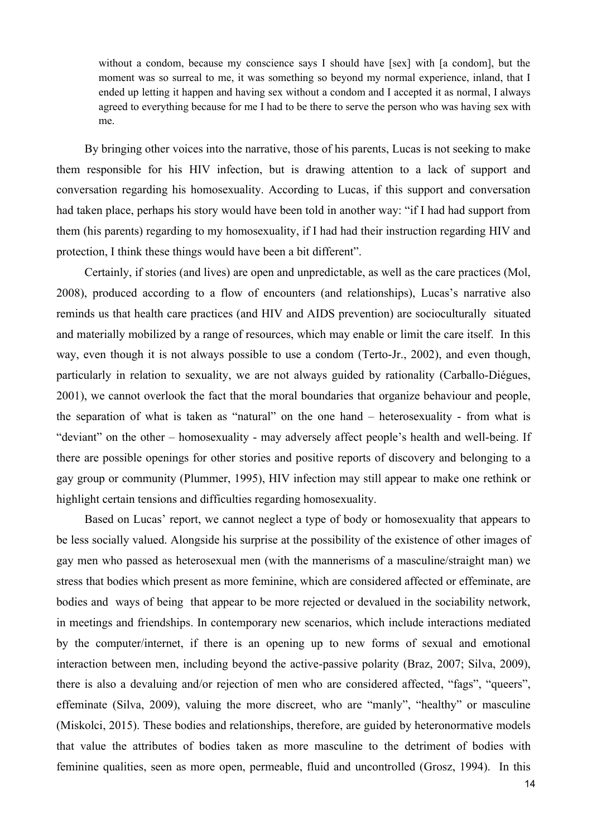without a condom, because my conscience says I should have [sex] with [a condom], but the moment was so surreal to me, it was something so beyond my normal experience, inland, that I ended up letting it happen and having sex without a condom and I accepted it as normal, I always agreed to everything because for me I had to be there to serve the person who was having sex with me.

By bringing other voices into the narrative, those of his parents, Lucas is not seeking to make them responsible for his HIV infection, but is drawing attention to a lack of support and conversation regarding his homosexuality. According to Lucas, if this support and conversation had taken place, perhaps his story would have been told in another way: "if I had had support from them (his parents) regarding to my homosexuality, if I had had their instruction regarding HIV and protection, I think these things would have been a bit different".

Certainly, if stories (and lives) are open and unpredictable, as well as the care practices (Mol, 2008), produced according to a flow of encounters (and relationships), Lucas's narrative also reminds us that health care practices (and HIV and AIDS prevention) are socioculturally situated and materially mobilized by a range of resources, which may enable or limit the care itself. In this way, even though it is not always possible to use a condom (Terto-Jr., 2002), and even though, particularly in relation to sexuality, we are not always guided by rationality (Carballo-Diégues, 2001), we cannot overlook the fact that the moral boundaries that organize behaviour and people, the separation of what is taken as "natural" on the one hand – heterosexuality - from what is "deviant" on the other – homosexuality - may adversely affect people's health and well-being. If there are possible openings for other stories and positive reports of discovery and belonging to a gay group or community (Plummer, 1995), HIV infection may still appear to make one rethink or highlight certain tensions and difficulties regarding homosexuality.

Based on Lucas' report, we cannot neglect a type of body or homosexuality that appears to be less socially valued. Alongside his surprise at the possibility of the existence of other images of gay men who passed as heterosexual men (with the mannerisms of a masculine/straight man) we stress that bodies which present as more feminine, which are considered affected or effeminate, are bodies and ways of being that appear to be more rejected or devalued in the sociability network, in meetings and friendships. In contemporary new scenarios, which include interactions mediated by the computer/internet, if there is an opening up to new forms of sexual and emotional interaction between men, including beyond the active-passive polarity (Braz, 2007; Silva, 2009), there is also a devaluing and/or rejection of men who are considered affected, "fags", "queers", effeminate (Silva, 2009), valuing the more discreet, who are "manly", "healthy" or masculine (Miskolci, 2015). These bodies and relationships, therefore, are guided by heteronormative models that value the attributes of bodies taken as more masculine to the detriment of bodies with feminine qualities, seen as more open, permeable, fluid and uncontrolled (Grosz, 1994). In this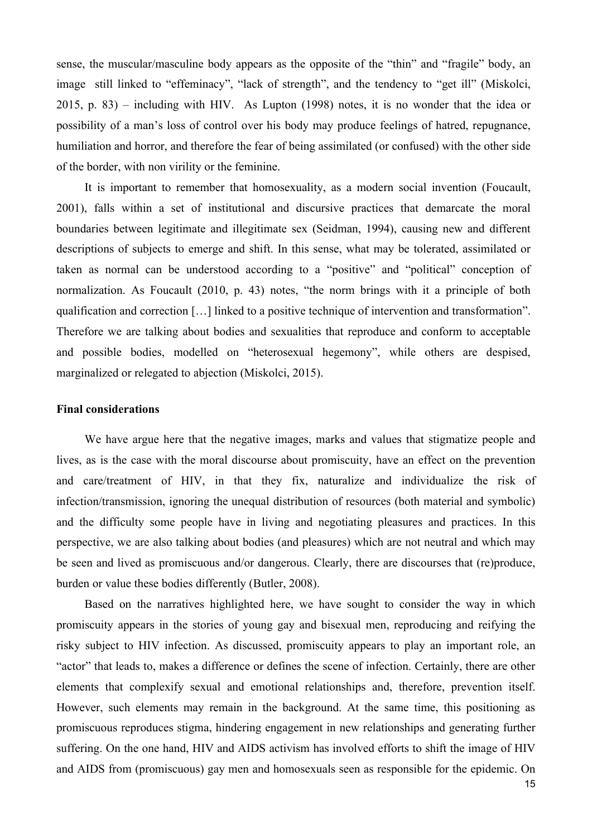sense, the muscular/masculine body appears as the opposite of the "thin" and "fragile" body, an image still linked to "effeminacy", "lack of strength", and the tendency to "get ill" (Miskolci, 2015, p. 83) – including with HIV. As Lupton (1998) notes, it is no wonder that the idea or possibility of a man's loss of control over his body may produce feelings of hatred, repugnance, humiliation and horror, and therefore the fear of being assimilated (or confused) with the other side of the border, with non virility or the feminine.

It is important to remember that homosexuality, as a modern social invention (Foucault, 2001), falls within a set of institutional and discursive practices that demarcate the moral boundaries between legitimate and illegitimate sex (Seidman, 1994), causing new and different descriptions of subjects to emerge and shift. In this sense, what may be tolerated, assimilated or taken as normal can be understood according to a "positive" and "political" conception of normalization. As Foucault (2010, p. 43) notes, "the norm brings with it a principle of both qualification and correction […] linked to a positive technique of intervention and transformation". Therefore we are talking about bodies and sexualities that reproduce and conform to acceptable and possible bodies, modelled on "heterosexual hegemony", while others are despised, marginalized or relegated to abjection (Miskolci, 2015).

#### **Final considerations**

We have argue here that the negative images, marks and values that stigmatize people and lives, as is the case with the moral discourse about promiscuity, have an effect on the prevention and care/treatment of HIV, in that they fix, naturalize and individualize the risk of infection/transmission, ignoring the unequal distribution of resources (both material and symbolic) and the difficulty some people have in living and negotiating pleasures and practices. In this perspective, we are also talking about bodies (and pleasures) which are not neutral and which may be seen and lived as promiscuous and/or dangerous. Clearly, there are discourses that (re)produce, burden or value these bodies differently (Butler, 2008).

Based on the narratives highlighted here, we have sought to consider the way in which promiscuity appears in the stories of young gay and bisexual men, reproducing and reifying the risky subject to HIV infection. As discussed, promiscuity appears to play an important role, an "actor" that leads to, makes a difference or defines the scene of infection. Certainly, there are other elements that complexify sexual and emotional relationships and, therefore, prevention itself. However, such elements may remain in the background. At the same time, this positioning as promiscuous reproduces stigma, hindering engagement in new relationships and generating further suffering. On the one hand, HIV and AIDS activism has involved efforts to shift the image of HIV and AIDS from (promiscuous) gay men and homosexuals seen as responsible for the epidemic. On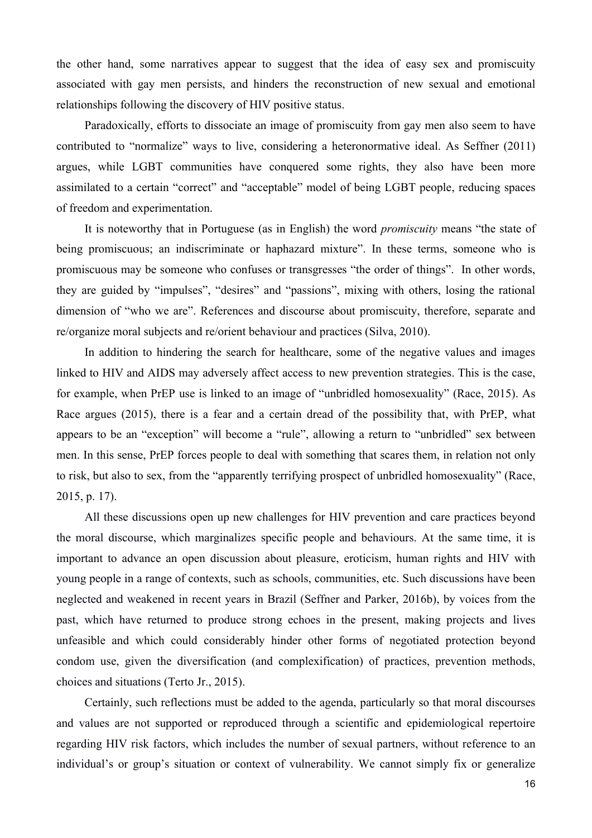the other hand, some narratives appear to suggest that the idea of easy sex and promiscuity associated with gay men persists, and hinders the reconstruction of new sexual and emotional relationships following the discovery of HIV positive status.

Paradoxically, efforts to dissociate an image of promiscuity from gay men also seem to have contributed to "normalize" ways to live, considering a heteronormative ideal. As Seffner (2011) argues, while LGBT communities have conquered some rights, they also have been more assimilated to a certain "correct" and "acceptable" model of being LGBT people, reducing spaces of freedom and experimentation.

It is noteworthy that in Portuguese (as in English) the word *promiscuity* means "the state of being promiscuous; an indiscriminate or haphazard mixture". In these terms, someone who is promiscuous may be someone who confuses or transgresses "the order of things". In other words, they are guided by "impulses", "desires" and "passions", mixing with others, losing the rational dimension of "who we are". References and discourse about promiscuity, therefore, separate and re/organize moral subjects and re/orient behaviour and practices (Silva, 2010).

In addition to hindering the search for healthcare, some of the negative values and images linked to HIV and AIDS may adversely affect access to new prevention strategies. This is the case, for example, when PrEP use is linked to an image of "unbridled homosexuality" (Race, 2015). As Race argues (2015), there is a fear and a certain dread of the possibility that, with PrEP, what appears to be an "exception" will become a "rule", allowing a return to "unbridled" sex between men. In this sense, PrEP forces people to deal with something that scares them, in relation not only to risk, but also to sex, from the "apparently terrifying prospect of unbridled homosexuality" (Race, 2015, p. 17).

All these discussions open up new challenges for HIV prevention and care practices beyond the moral discourse, which marginalizes specific people and behaviours. At the same time, it is important to advance an open discussion about pleasure, eroticism, human rights and HIV with young people in a range of contexts, such as schools, communities, etc. Such discussions have been neglected and weakened in recent years in Brazil (Seffner and Parker, 2016b), by voices from the past, which have returned to produce strong echoes in the present, making projects and lives unfeasible and which could considerably hinder other forms of negotiated protection beyond condom use, given the diversification (and complexification) of practices, prevention methods, choices and situations (Terto Jr., 2015).

Certainly, such reflections must be added to the agenda, particularly so that moral discourses and values are not supported or reproduced through a scientific and epidemiological repertoire regarding HIV risk factors, which includes the number of sexual partners, without reference to an individual's or group's situation or context of vulnerability. We cannot simply fix or generalize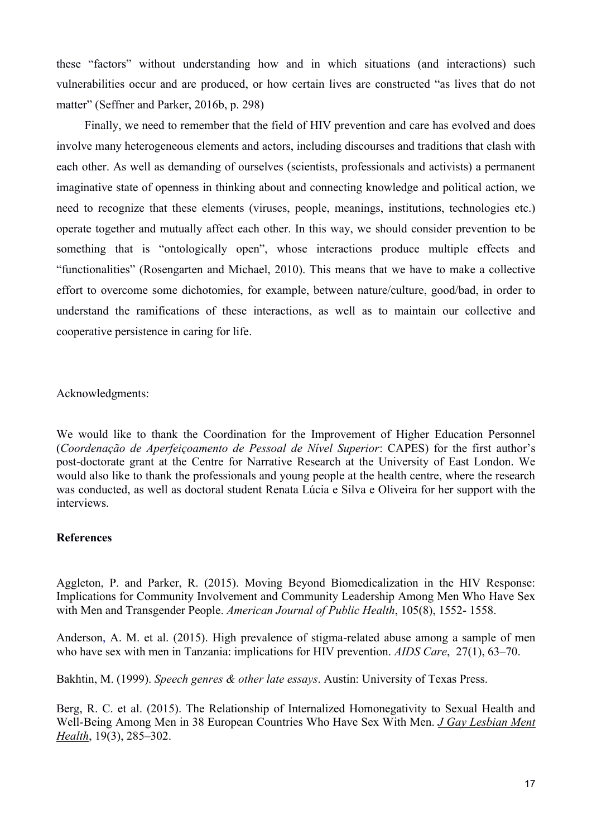these "factors" without understanding how and in which situations (and interactions) such vulnerabilities occur and are produced, or how certain lives are constructed "as lives that do not matter" (Seffner and Parker, 2016b, p. 298)

Finally, we need to remember that the field of HIV prevention and care has evolved and does involve many heterogeneous elements and actors, including discourses and traditions that clash with each other. As well as demanding of ourselves (scientists, professionals and activists) a permanent imaginative state of openness in thinking about and connecting knowledge and political action, we need to recognize that these elements (viruses, people, meanings, institutions, technologies etc.) operate together and mutually affect each other. In this way, we should consider prevention to be something that is "ontologically open", whose interactions produce multiple effects and "functionalities" (Rosengarten and Michael, 2010). This means that we have to make a collective effort to overcome some dichotomies, for example, between nature/culture, good/bad, in order to understand the ramifications of these interactions, as well as to maintain our collective and cooperative persistence in caring for life.

Acknowledgments:

We would like to thank the Coordination for the Improvement of Higher Education Personnel (*Coordenação de Aperfeiçoamento de Pessoal de Nível Superior*: CAPES) for the first author's post-doctorate grant at the Centre for Narrative Research at the University of East London. We would also like to thank the professionals and young people at the health centre, where the research was conducted, as well as doctoral student Renata Lúcia e Silva e Oliveira for her support with the interviews.

# **References**

Aggleton, P. and Parker, R. (2015). Moving Beyond Biomedicalization in the HIV Response: Implications for Community Involvement and Community Leadership Among Men Who Have Sex with Men and Transgender People. *American Journal of Public Health*, 105(8), 1552- 1558.

Anderson, A. M. et al. (2015). High prevalence of stigma-related abuse among a sample of men who have sex with men in Tanzania: implications for HIV prevention. *AIDS Care*, 27(1), 63–70.

Bakhtin, M. (1999). *Speech genres & other late essays*. Austin: University of Texas Press.

Berg, R. C. et al. (2015). The Relationship of Internalized Homonegativity to Sexual Health and Well-Being Among Men in 38 European Countries Who Have Sex With Men. *[J Gay Lesbian Ment](https://www.ncbi.nlm.nih.gov/pmc/articles/PMC4647863/)  [Health](https://www.ncbi.nlm.nih.gov/pmc/articles/PMC4647863/)*, 19(3), 285–302.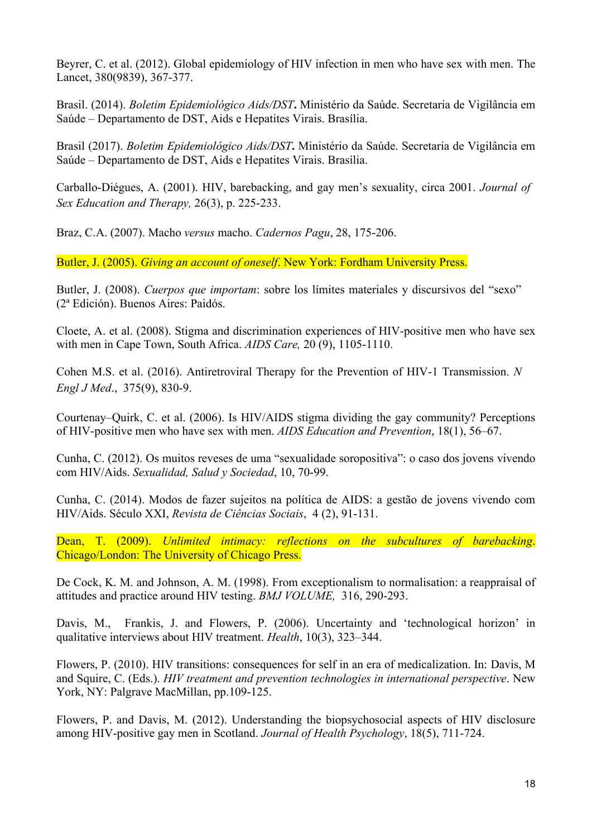Beyrer, C. et al. (2012). Global epidemiology of HIV infection in men who have sex with men. The Lancet, 380(9839), 367-377.

Brasil. (2014). *Boletim Epidemiológico Aids/DST***.** Ministério da Saúde. Secretaria de Vigilância em Saúde – Departamento de DST, Aids e Hepatites Virais. Brasília.

Brasil (2017). *Boletim Epidemiológico Aids/DST***.** Ministério da Saúde. Secretaria de Vigilância em Saúde – Departamento de DST, Aids e Hepatites Virais. Brasília.

Carballo-Diégues, A. (2001). HIV, barebacking, and gay men's sexuality, circa 2001. *Journal of Sex Education and Therapy,* 26(3), p. 225-233.

Braz, C.A. (2007). Macho *versus* macho. *Cadernos Pagu*, 28, 175-206.

Butler, J. (2005). *Giving an account of oneself*. New York: Fordham University Press.

Butler, J. (2008). *Cuerpos que importam*: sobre los límites materiales y discursivos del "sexo" (2ª Edición). Buenos Aires: Paidós.

Cloete, A. et al. (2008). Stigma and discrimination experiences of HIV-positive men who have sex with men in Cape Town, South Africa. *AIDS Care,* 20 (9), 1105-1110.

Cohen M.S. et al. (2016). Antiretroviral Therapy for the Prevention of HIV-1 Transmission. *N Engl J Med*., 375(9), 830-9.

Courtenay–Quirk, C. et al. (2006). Is HIV/AIDS stigma dividing the gay community? Perceptions of HIV-positive men who have sex with men. *AIDS Education and Prevention*, 18(1), 56–67.

Cunha, C. (2012). Os muitos reveses de uma "sexualidade soropositiva": o caso dos jovens vivendo com HIV/Aids. *Sexualidad, Salud y Sociedad*, 10, 70-99.

Cunha, C. (2014). Modos de fazer sujeitos na política de AIDS: a gestão de jovens vivendo com HIV/Aids. Século XXI, *Revista de Ciências Sociais*, 4 (2), 91-131.

Dean, T. (2009). *Unlimited intimacy: reflections on the subcultures of barebacking*. Chicago/London: The University of Chicago Press.

De Cock, K. M. and Johnson, A. M. (1998). From exceptionalism to normalisation: a reappraisal of attitudes and practice around HIV testing. *BMJ VOLUME,* 316, 290-293.

Davis, M., Frankis, J. and Flowers, P. (2006). Uncertainty and 'technological horizon' in qualitative interviews about HIV treatment. *Health*, 10(3), 323–344.

Flowers, P. (2010). HIV transitions: consequences for self in an era of medicalization. In: Davis, M and Squire, C. (Eds.). *HIV treatment and prevention technologies in international perspective*. New York, NY: Palgrave MacMillan, pp.109-125.

Flowers, P. and Davis, M. (2012). Understanding the biopsychosocial aspects of HIV disclosure among HIV-positive gay men in Scotland. *Journal of Health Psychology*, 18(5), 711-724.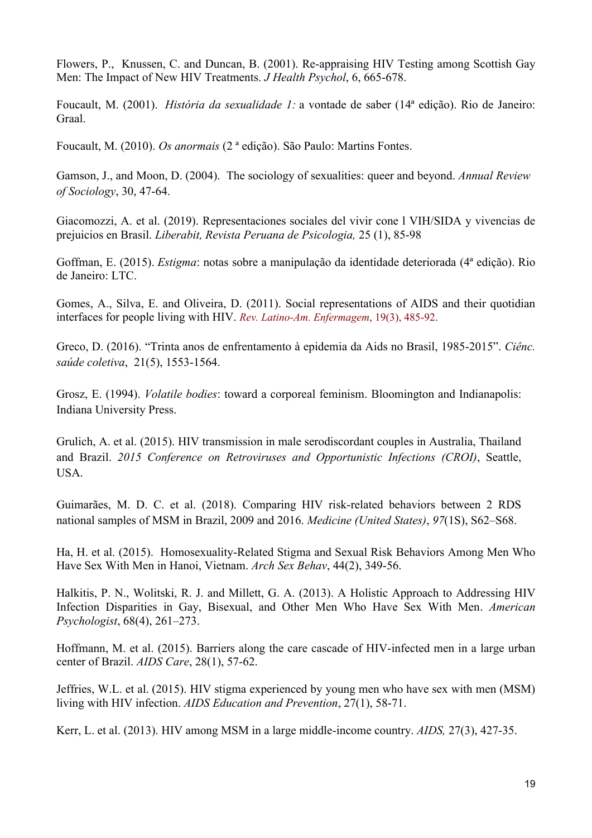Flowers, P., Knussen, C. and Duncan, B. (2001). Re-appraising HIV Testing among Scottish Gay Men: The Impact of New HIV Treatments. *J Health Psychol*, 6, 665-678.

Foucault, M. (2001). *História da sexualidade 1:* a vontade de saber (14ª edição). Rio de Janeiro: Graal.

Foucault, M. (2010). *Os anormais* (2 ª edição). São Paulo: Martins Fontes.

Gamson, J., and Moon, D. (2004). The sociology of sexualities: queer and beyond. *Annual Review of Sociology*, 30, 47-64.

Giacomozzi, A. et al. (2019). Representaciones sociales del vivir cone l VIH/SIDA y vivencias de prejuicios en Brasil. *Liberabit, Revista Peruana de Psicologia,* 25 (1), 85-98

Goffman, E. (2015). *Estigma*: notas sobre a manipulação da identidade deteriorada (4ª edição). Rio de Janeiro: LTC.

Gomes, A., Silva, E. and Oliveira, D. (2011). Social representations of AIDS and their quotidian interfaces for people living with HIV. *Rev. Latino-Am. Enfermagem*, 19(3), 485-92.

Greco, D. (2016). "Trinta anos de enfrentamento à epidemia da Aids no Brasil, 1985-2015". *Ciênc. saúde coletiva*, 21(5), 1553-1564.

Grosz, E. (1994). *Volatile bodies*: toward a corporeal feminism. Bloomington and Indianapolis: Indiana University Press.

Grulich, A. et al. (2015). HIV transmission in male serodiscordant couples in Australia, Thailand and Brazil. *2015 Conference on Retroviruses and Opportunistic Infections (CROI)*, Seattle, USA.

Guimarães, M. D. C. et al. (2018). Comparing HIV risk-related behaviors between 2 RDS national samples of MSM in Brazil, 2009 and 2016. *Medicine (United States)*, *97*(1S), S62–S68.

Ha, H. et al. (2015). Homosexuality-Related Stigma and Sexual Risk Behaviors Among Men Who Have Sex With Men in Hanoi, Vietnam. *Arch Sex Behav*, 44(2), 349-56.

Halkitis, P. N., Wolitski, R. J. and Millett, G. A. (2013). A Holistic Approach to Addressing HIV Infection Disparities in Gay, Bisexual, and Other Men Who Have Sex With Men. *American Psychologist*, 68(4), 261–273.

Hoffmann, M. et al. (2015). Barriers along the care cascade of HIV-infected men in a large urban center of Brazil. *AIDS Care*, 28(1), 57-62.

Jeffries, W.L. et al. (2015). HIV stigma experienced by young men who have sex with men (MSM) living with HIV infection. *AIDS Education and Prevention*, 27(1), 58-71.

Kerr, L. et al. (2013). HIV among MSM in a large middle-income country. *AIDS,* 27(3), 427-35.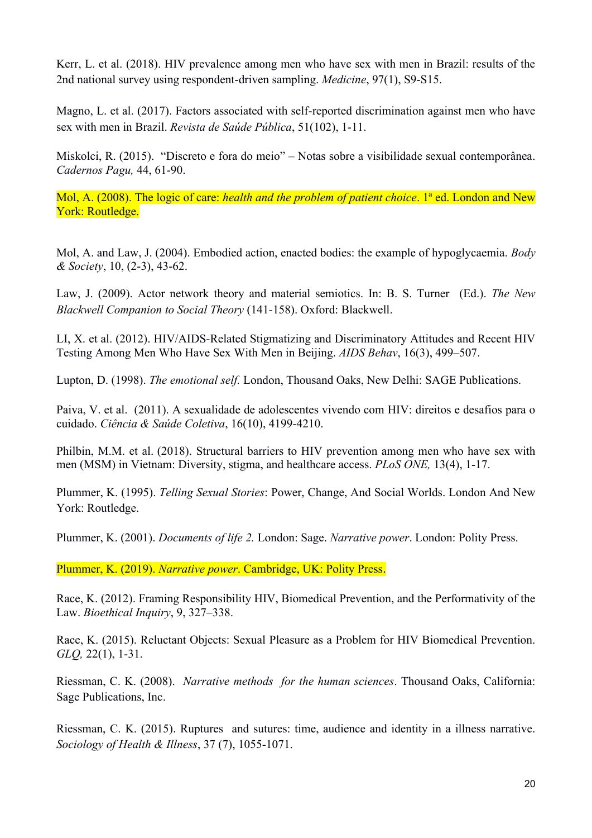Kerr, L. et al. (2018). HIV prevalence among men who have sex with men in Brazil: results of the 2nd national survey using respondent-driven sampling. *Medicine*, 97(1), S9-S15.

Magno, L. et al. (2017). Factors associated with self-reported discrimination against men who have sex with men in Brazil. *Revista de Saúde Pública*, 51(102), 1-11.

Miskolci, R. (2015). "Discreto e fora do meio" – Notas sobre a visibilidade sexual contemporânea. *Cadernos Pagu,* 44, 61-90.

Mol, A. (2008). The logic of care: *health and the problem of patient choice*. 1ª ed. London and New York: Routledge.

Mol, A. and Law, J. (2004). Embodied action, enacted bodies: the example of hypoglycaemia. *Body & Society*, 10, (2-3), 43-62.

Law, J. (2009). Actor network theory and material semiotics. In: B. S. Turner (Ed.). *The New Blackwell Companion to Social Theory* (141-158). Oxford: Blackwell.

LI, X. et al. (2012). HIV/AIDS-Related Stigmatizing and Discriminatory Attitudes and Recent HIV Testing Among Men Who Have Sex With Men in Beijing. *AIDS Behav*, 16(3), 499–507.

Lupton, D. (1998). *The emotional self.* London, Thousand Oaks, New Delhi: SAGE Publications.

Paiva, V. et al. (2011). A sexualidade de adolescentes vivendo com HIV: direitos e desafios para o cuidado. *Ciência & Saúde Coletiva*, 16(10), 4199-4210.

Philbin, M.M. et al. (2018). Structural barriers to HIV prevention among men who have sex with men (MSM) in Vietnam: Diversity, stigma, and healthcare access. *PLoS ONE,* 13(4), 1-17.

Plummer, K. (1995). *Telling Sexual Stories*: Power, Change, And Social Worlds. London And New York: Routledge.

Plummer, K. (2001). *Documents of life 2.* London: Sage. *Narrative power*. London: Polity Press.

Plummer, K. (2019). *Narrative power*. Cambridge, UK: Polity Press.

Race, K. (2012). Framing Responsibility HIV, Biomedical Prevention, and the Performativity of the Law. *Bioethical Inquiry*, 9, 327–338.

Race, K. (2015). Reluctant Objects: Sexual Pleasure as a Problem for HIV Biomedical Prevention. *GLQ,* 22(1), 1-31.

Riessman, C. K. (2008). *Narrative methods for the human sciences*. Thousand Oaks, California: Sage Publications, Inc.

Riessman, C. K. (2015). Ruptures and sutures: time, audience and identity in a illness narrative. *Sociology of Health & Illness*, 37 (7), 1055-1071.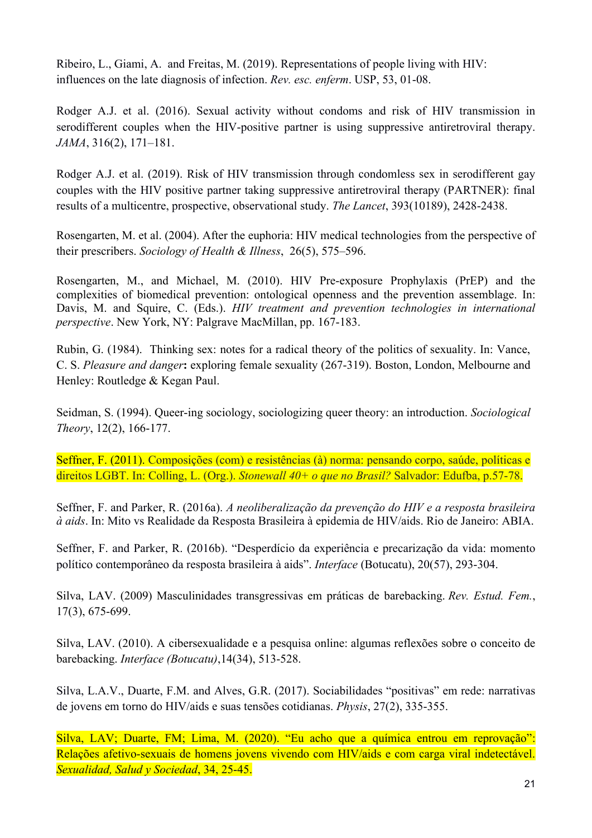Ribeiro, L., Giami, A. and Freitas, M. (2019). Representations of people living with HIV: influences on the late diagnosis of infection. *Rev. esc. enferm*. USP, 53, 01-08.

Rodger A.J. et al. (2016). Sexual activity without condoms and risk of HIV transmission in serodifferent couples when the HIV-positive partner is using suppressive antiretroviral therapy. *JAMA*, 316(2), 171–181.

Rodger A.J. et al. (2019). Risk of HIV transmission through condomless sex in serodifferent gay couples with the HIV positive partner taking suppressive antiretroviral therapy (PARTNER): final results of a multicentre, prospective, observational study. *The Lancet*, 393(10189), 2428-2438.

Rosengarten, M. et al. (2004). After the euphoria: HIV medical technologies from the perspective of their prescribers. *Sociology of Health & Illness*, 26(5), 575–596.

Rosengarten, M., and Michael, M. (2010). HIV Pre-exposure Prophylaxis (PrEP) and the complexities of biomedical prevention: ontological openness and the prevention assemblage. In: Davis, M. and Squire, C. (Eds.). *HIV treatment and prevention technologies in international perspective*. New York, NY: Palgrave MacMillan, pp. 167-183.

Rubin, G. (1984). Thinking sex: notes for a radical theory of the politics of sexuality. In: Vance, C. S. *Pleasure and danger***:** exploring female sexuality (267-319). Boston, London, Melbourne and Henley: Routledge & Kegan Paul.

Seidman, S. (1994). Queer-ing sociology, sociologizing queer theory: an introduction. *Sociological Theory*, 12(2), 166-177.

Seffner, F. (2011). Composições (com) e resistências (à) norma: pensando corpo, saúde, políticas e direitos LGBT. In: Colling, L. (Org.). *Stonewall 40+ o que no Brasil?* Salvador: Edufba, p.57-78.

Seffner, F. and Parker, R. (2016a). *A neoliberalização da prevenção do HIV e a resposta brasileira à aids*. In: Mito vs Realidade da Resposta Brasileira à epidemia de HIV/aids. Rio de Janeiro: ABIA.

Seffner, F. and Parker, R. (2016b). "Desperdício da experiência e precarização da vida: momento político contemporâneo da resposta brasileira à aids". *Interface* (Botucatu), 20(57), 293-304.

Silva, LAV. (2009) Masculinidades transgressivas em práticas de barebacking. *Rev. Estud. Fem.*, 17(3), 675-699.

Silva, LAV. (2010). A cibersexualidade e a pesquisa online: algumas reflexões sobre o conceito de barebacking. *Interface (Botucatu)*,14(34), 513-528.

Silva, L.A.V., Duarte, F.M. and Alves, G.R. (2017). Sociabilidades "positivas" em rede: narrativas de jovens em torno do HIV/aids e suas tensões cotidianas. *Physis*, 27(2), 335-355.

Silva, LAV; Duarte, FM; Lima, M. (2020). "Eu acho que a química entrou em reprovação": Relações afetivo-sexuais de homens jovens vivendo com HIV/aids e com carga viral indetectável. *Sexualidad, Salud y Sociedad*, 34, 25-45.